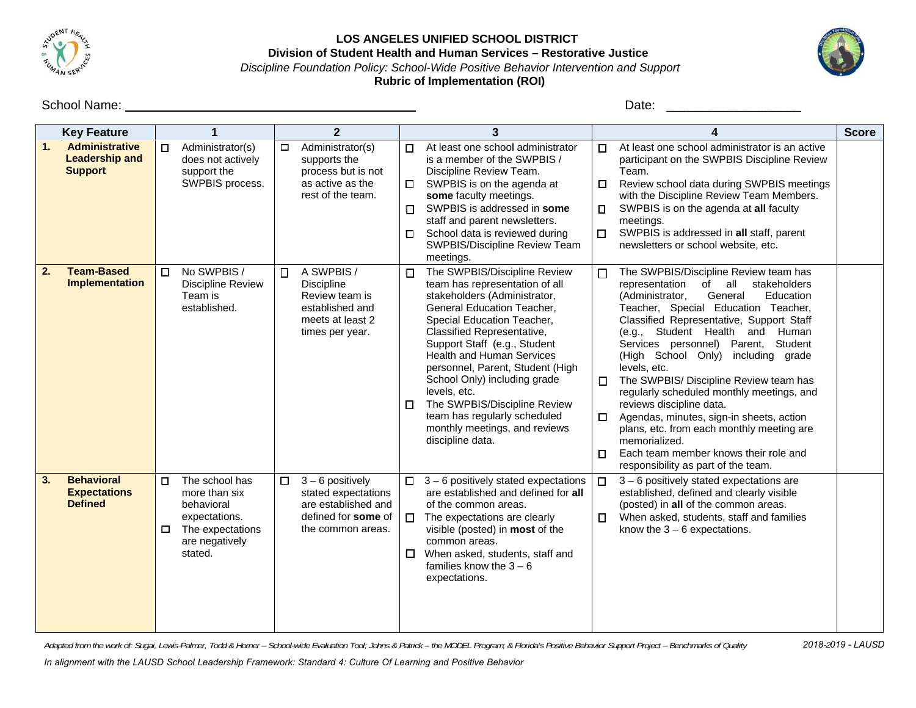

## LOS ANGELES UNIFIED SCHOOL DISTRICT Division of Student Health and Human Services - Restorative Justice Discipline Foundation Policy: School-Wide Positive Behavior Intervention and Support

**Rubric of Implementation (ROI)** 



|    | <b>Key Feature</b>                                               |                                                                                                                                | $\mathbf{2}$                                                                                                           | 3                                                                                                                                                                                                                                                                                                                                                                                                                                                                                    |                                                                                                                                                                                                                                                                                                                                                                                                                                                                                                                                                                                                                                                                                                    | <b>Score</b> |
|----|------------------------------------------------------------------|--------------------------------------------------------------------------------------------------------------------------------|------------------------------------------------------------------------------------------------------------------------|--------------------------------------------------------------------------------------------------------------------------------------------------------------------------------------------------------------------------------------------------------------------------------------------------------------------------------------------------------------------------------------------------------------------------------------------------------------------------------------|----------------------------------------------------------------------------------------------------------------------------------------------------------------------------------------------------------------------------------------------------------------------------------------------------------------------------------------------------------------------------------------------------------------------------------------------------------------------------------------------------------------------------------------------------------------------------------------------------------------------------------------------------------------------------------------------------|--------------|
| 1. | <b>Administrative</b><br><b>Leadership and</b><br><b>Support</b> | Administrator(s)<br>П<br>does not actively<br>support the<br>SWPBIS process.                                                   | Administrator(s)<br>$\Box$<br>supports the<br>process but is not<br>as active as the<br>rest of the team.              | At least one school administrator<br>п<br>is a member of the SWPBIS /<br>Discipline Review Team.<br>SWPBIS is on the agenda at<br>$\Box$<br>some faculty meetings.<br>SWPBIS is addressed in some<br>$\Box$<br>staff and parent newsletters.<br>School data is reviewed during<br>$\Box$<br>SWPBIS/Discipline Review Team<br>meetings.                                                                                                                                               | At least one school administrator is an active<br>$\Box$<br>participant on the SWPBIS Discipline Review<br>Team.<br>Review school data during SWPBIS meetings<br>0<br>with the Discipline Review Team Members.<br>SWPBIS is on the agenda at all faculty<br>О.<br>meetings.<br>SWPBIS is addressed in all staff, parent<br>$\Box$<br>newsletters or school website, etc.                                                                                                                                                                                                                                                                                                                           |              |
| 2. | <b>Team-Based</b><br><b>Implementation</b>                       | No SWPBIS /<br>П<br><b>Discipline Review</b><br>Team is<br>established.                                                        | A SWPBIS /<br>$\Box$<br>Discipline<br>Review team is<br>established and<br>meets at least 2<br>times per year.         | The SWPBIS/Discipline Review<br>о<br>team has representation of all<br>stakeholders (Administrator,<br>General Education Teacher,<br>Special Education Teacher,<br>Classified Representative,<br>Support Staff (e.g., Student<br><b>Health and Human Services</b><br>personnel, Parent, Student (High<br>School Only) including grade<br>levels, etc.<br>The SWPBIS/Discipline Review<br>$\Box$<br>team has regularly scheduled<br>monthly meetings, and reviews<br>discipline data. | The SWPBIS/Discipline Review team has<br>□<br>all<br>stakeholders<br>representation<br>of<br>(Administrator,<br>General<br>Education<br>Teacher, Special Education Teacher,<br>Classified Representative, Support Staff<br>(e.g., Student Health and Human<br>Services personnel) Parent, Student<br>(High School Only) including grade<br>levels, etc.<br>The SWPBIS/ Discipline Review team has<br>$\Box$<br>regularly scheduled monthly meetings, and<br>reviews discipline data.<br>Agendas, minutes, sign-in sheets, action<br>$\Box$<br>plans, etc. from each monthly meeting are<br>memorialized.<br>Each team member knows their role and<br>$\Box$<br>responsibility as part of the team. |              |
| 3. | <b>Behavioral</b><br><b>Expectations</b><br><b>Defined</b>       | The school has<br>$\Box$<br>more than six<br>behavioral<br>expectations.<br>The expectations<br>□<br>are negatively<br>stated. | $3 - 6$ positively<br>$\Box$<br>stated expectations<br>are established and<br>defined for some of<br>the common areas. | $3 - 6$ positively stated expectations<br>$\Box$<br>are established and defined for all<br>of the common areas.<br>The expectations are clearly<br>0.<br>visible (posted) in <b>most</b> of the<br>common areas.<br>$\Box$<br>When asked, students, staff and<br>families know the $3-6$<br>expectations.                                                                                                                                                                            | 3 - 6 positively stated expectations are<br>$\Box$<br>established, defined and clearly visible<br>(posted) in all of the common areas.<br>When asked, students, staff and families<br>$\Box$<br>know the $3 - 6$ expectations.                                                                                                                                                                                                                                                                                                                                                                                                                                                                     |              |

Adapted from the work of: Sugai, Lewis-Palmer, Todd & Horner - School-wide Evaluation Tool; Johns & Patrick - the MODEL Program; & Florida's Positive Behavior Support Project - Benchmarks of Quality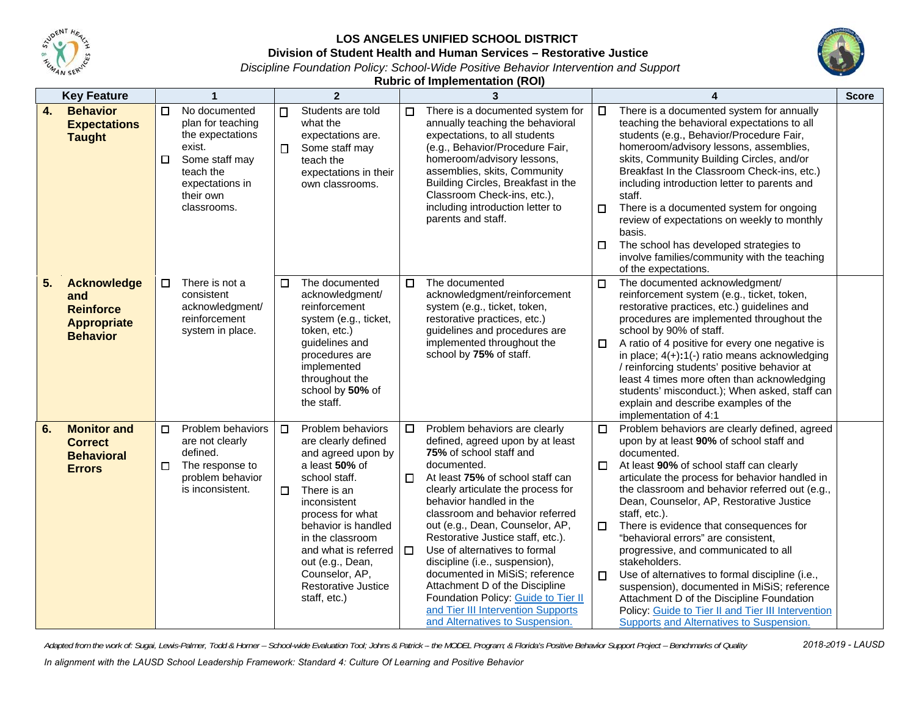

## LOS ANGELES UNIFIED SCHOOL DISTRICT

**Division of St udent Health an d Human Servi c ces – Restorativ e e Justice**



*Dis scipline Foundatio on Policy: School--Wide Positive B e ehavior Interventi ion and Support* 

**Rubric of Implementation (ROI)** 

| <b>Key Feature</b>                                                                           | 1                                                                                                                                                        | $\overline{2}$                                                                                                                                                                                                                                                                                                           | 3                                                                                                                                                                                                                                                                                                                                                                                                                                                                                                                                                                                                                | 4                                                                                                                                                                                                                                                                                                                                                                                                                                                                                                                                                                                                                                                                                                                                                    | <b>Score</b> |
|----------------------------------------------------------------------------------------------|----------------------------------------------------------------------------------------------------------------------------------------------------------|--------------------------------------------------------------------------------------------------------------------------------------------------------------------------------------------------------------------------------------------------------------------------------------------------------------------------|------------------------------------------------------------------------------------------------------------------------------------------------------------------------------------------------------------------------------------------------------------------------------------------------------------------------------------------------------------------------------------------------------------------------------------------------------------------------------------------------------------------------------------------------------------------------------------------------------------------|------------------------------------------------------------------------------------------------------------------------------------------------------------------------------------------------------------------------------------------------------------------------------------------------------------------------------------------------------------------------------------------------------------------------------------------------------------------------------------------------------------------------------------------------------------------------------------------------------------------------------------------------------------------------------------------------------------------------------------------------------|--------------|
| 4.<br><b>Behavior</b><br><b>Expectations</b><br><b>Taught</b>                                | No documented<br>П<br>plan for teaching<br>the expectations<br>exist.<br>Some staff may<br>□<br>teach the<br>expectations in<br>their own<br>classrooms. | Students are told<br>$\Box$<br>what the<br>expectations are.<br>Some staff may<br>$\Box$<br>teach the<br>expectations in their<br>own classrooms.                                                                                                                                                                        | There is a documented system for<br>$\Box$<br>annually teaching the behavioral<br>expectations, to all students<br>(e.g., Behavior/Procedure Fair,<br>homeroom/advisory lessons,<br>assemblies, skits, Community<br>Building Circles, Breakfast in the<br>Classroom Check-ins, etc.),<br>including introduction letter to<br>parents and staff.                                                                                                                                                                                                                                                                  | There is a documented system for annually<br>$\Box$<br>teaching the behavioral expectations to all<br>students (e.g., Behavior/Procedure Fair,<br>homeroom/advisory lessons, assemblies,<br>skits, Community Building Circles, and/or<br>Breakfast In the Classroom Check-ins, etc.)<br>including introduction letter to parents and<br>staff.<br>There is a documented system for ongoing<br>$\Box$<br>review of expectations on weekly to monthly<br>basis.<br>The school has developed strategies to<br>$\Box$<br>involve families/community with the teaching<br>of the expectations.                                                                                                                                                            |              |
| <b>Acknowledge</b><br>5.<br>and<br><b>Reinforce</b><br><b>Appropriate</b><br><b>Behavior</b> | There is not a<br>П<br>consistent<br>acknowledgment/<br>reinforcement<br>system in place.                                                                | The documented<br>$\Box$<br>acknowledgment/<br>reinforcement<br>system (e.g., ticket,<br>token, etc.)<br>quidelines and<br>procedures are<br>implemented<br>throughout the<br>school by 50% of<br>the staff.                                                                                                             | $\Box$<br>The documented<br>$\Box$<br>acknowledgment/reinforcement<br>system (e.g., ticket, token,<br>restorative practices, etc.)<br>guidelines and procedures are<br>implemented throughout the<br>school by 75% of staff.                                                                                                                                                                                                                                                                                                                                                                                     | The documented acknowledgment/<br>reinforcement system (e.g., ticket, token,<br>restorative practices, etc.) guidelines and<br>procedures are implemented throughout the<br>school by 90% of staff.<br>A ratio of 4 positive for every one negative is<br>$\Box$<br>in place; $4(+):1(-)$ ratio means acknowledging<br>/ reinforcing students' positive behavior at<br>least 4 times more often than acknowledging<br>students' misconduct.); When asked, staff can<br>explain and describe examples of the<br>implementation of 4:1                                                                                                                                                                                                                 |              |
| <b>Monitor and</b><br>6.<br><b>Correct</b><br><b>Behavioral</b><br><b>Errors</b>             | Problem behaviors<br>П<br>are not clearly<br>defined.<br>The response to<br>П<br>problem behavior<br>is inconsistent.                                    | Problem behaviors<br>$\Box$<br>are clearly defined<br>and agreed upon by<br>a least 50% of<br>school staff.<br>$\Box$<br>There is an<br>inconsistent<br>process for what<br>behavior is handled<br>in the classroom<br>and what is referred<br>out (e.g., Dean,<br>Counselor, AP,<br>Restorative Justice<br>staff, etc.) | Problem behaviors are clearly<br>$\Box$<br>defined, agreed upon by at least<br>75% of school staff and<br>documented.<br>At least 75% of school staff can<br>$\Box$<br>clearly articulate the process for<br>behavior handled in the<br>classroom and behavior referred<br>out (e.g., Dean, Counselor, AP,<br>Restorative Justice staff, etc.).<br>Use of alternatives to formal<br>$\Box$<br>discipline (i.e., suspension),<br>documented in MiSiS; reference<br>Attachment D of the Discipline<br>Foundation Policy: Guide to Tier II<br>and Tier III Intervention Supports<br>and Alternatives to Suspension. | Problem behaviors are clearly defined, agreed<br>$\Box$<br>upon by at least 90% of school staff and<br>documented.<br>At least 90% of school staff can clearly<br>0<br>articulate the process for behavior handled in<br>the classroom and behavior referred out (e.g.,<br>Dean, Counselor, AP, Restorative Justice<br>staff, etc.).<br>There is evidence that consequences for<br>$\Box$<br>"behavioral errors" are consistent,<br>progressive, and communicated to all<br>stakeholders.<br>Use of alternatives to formal discipline (i.e.,<br>$\Box$<br>suspension), documented in MiSiS; reference<br>Attachment D of the Discipline Foundation<br>Policy: Guide to Tier II and Tier III Intervention<br>Supports and Alternatives to Suspension. |              |

Adapted from the work of: Sugai, Lewis-Palmer, Todd & Horner – School-wide Evaluation Tool; Johns & Patrick – the MODEL Program; & Florida's Positive Behavior Support Project – Benchmarks of Quality